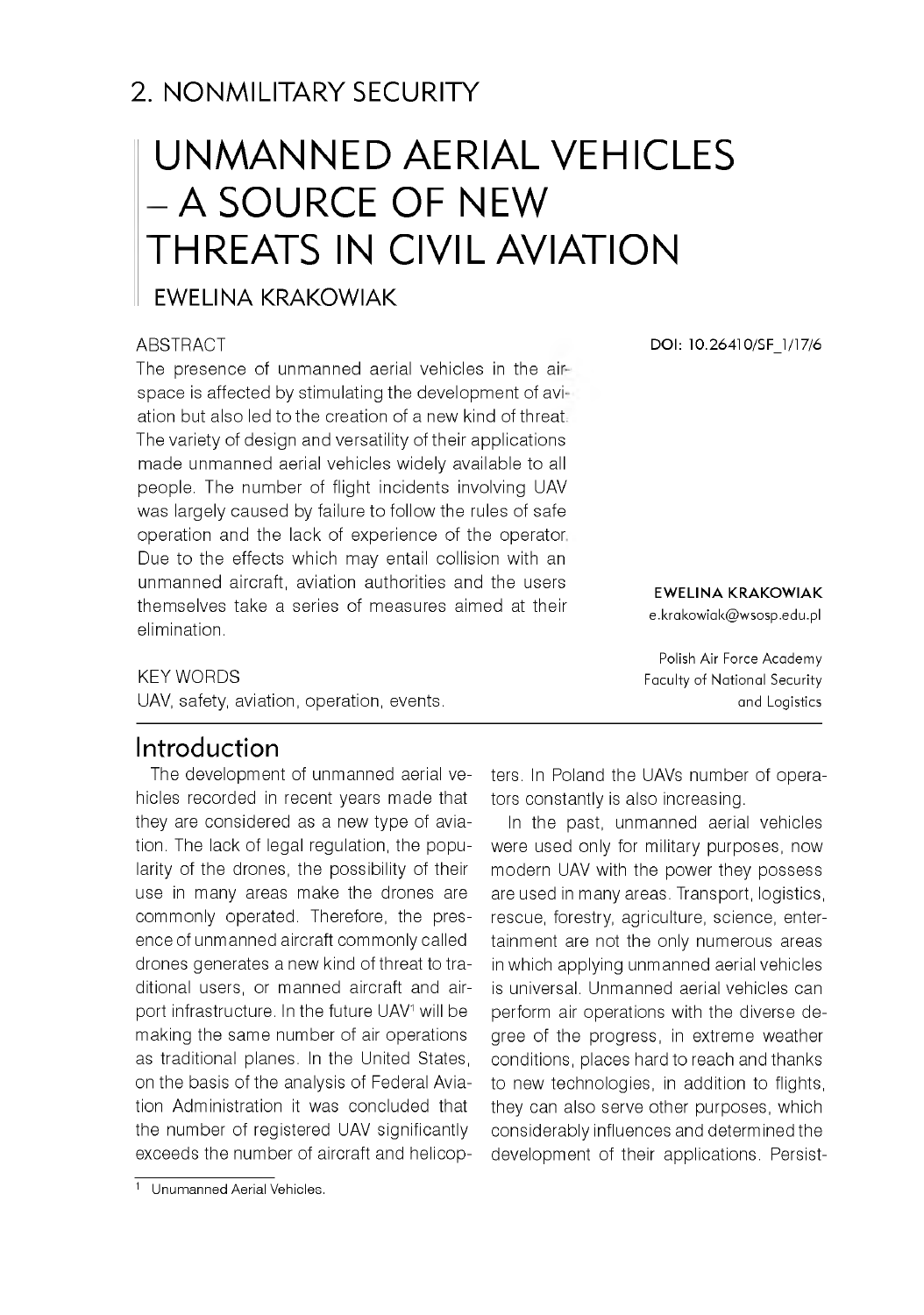# 2. NONMILITARY SECURITY

# UNMANNED AERIAL VEHICLES - A SOURCE OF NEW THREATS IN CIVIL AVIATION

#### EWELINA KRAKOWIAK

#### **ABSTRACT**

The presence of unmanned aerial vehicles in the airspace is affected by stimulating the development of aviation but also led to the creation of a new kind of threat The variety of design and versatility of their applications made unmanned aerial vehicles widely available to all people. The number of flight incidents involving UAV was largely caused by failure to follow the rules of safe operation and the lack of experience of the operator Due to the effects which may entail collision with an unmanned aircraft, aviation authorities and the users themselves take a series of measures aimed at their elimination.

**DOI: 10.26410/SF\_1/17/6**

#### **EWELINA KRAKOWIAK**

e.krakowiak@wsosp.edu.pl

Polish Air Force Academy Faculty of National Security and Logistics

#### KEY WORDS

UAV, safety, aviation, operation, events.

## Introduction

The development of unmanned aerial vehicles recorded in recent years made that they are considered as a new type of aviation. The lack of legal regulation, the popularity of the drones, the possibility of their use in many areas make the drones are commonly operated. Therefore, the presence of unmanned aircraft commonly called drones generates a new kind of threat to traditional users, or manned aircraft and airport infrastructure. In the future UAV<sup>1</sup> will be making the same number of air operations as traditional planes. In the United States, on the basis of the analysis of Federal Aviation Administration it was concluded that the number of registered UAV significantly exceeds the number of aircraft and helicopters. In Poland the UAVs number of operators constantly is also increasing.

In the past, unmanned aerial vehicles were used only for military purposes, now modern UAV with the power they possess are used in many areas. Transport, logistics, rescue, forestry, agriculture, science, entertainment are not the only numerous areas in which applying unmanned aerial vehicles is universal. Unmanned aerial vehicles can perform air operations with the diverse degree of the progress, in extreme weather conditions, places hard to reach and thanks to new technologies, in addition to flights, they can also serve other purposes, which considerably influences and determined the development of their applications. Persist-

<sup>1</sup> Unumanned Aerial Vehicles.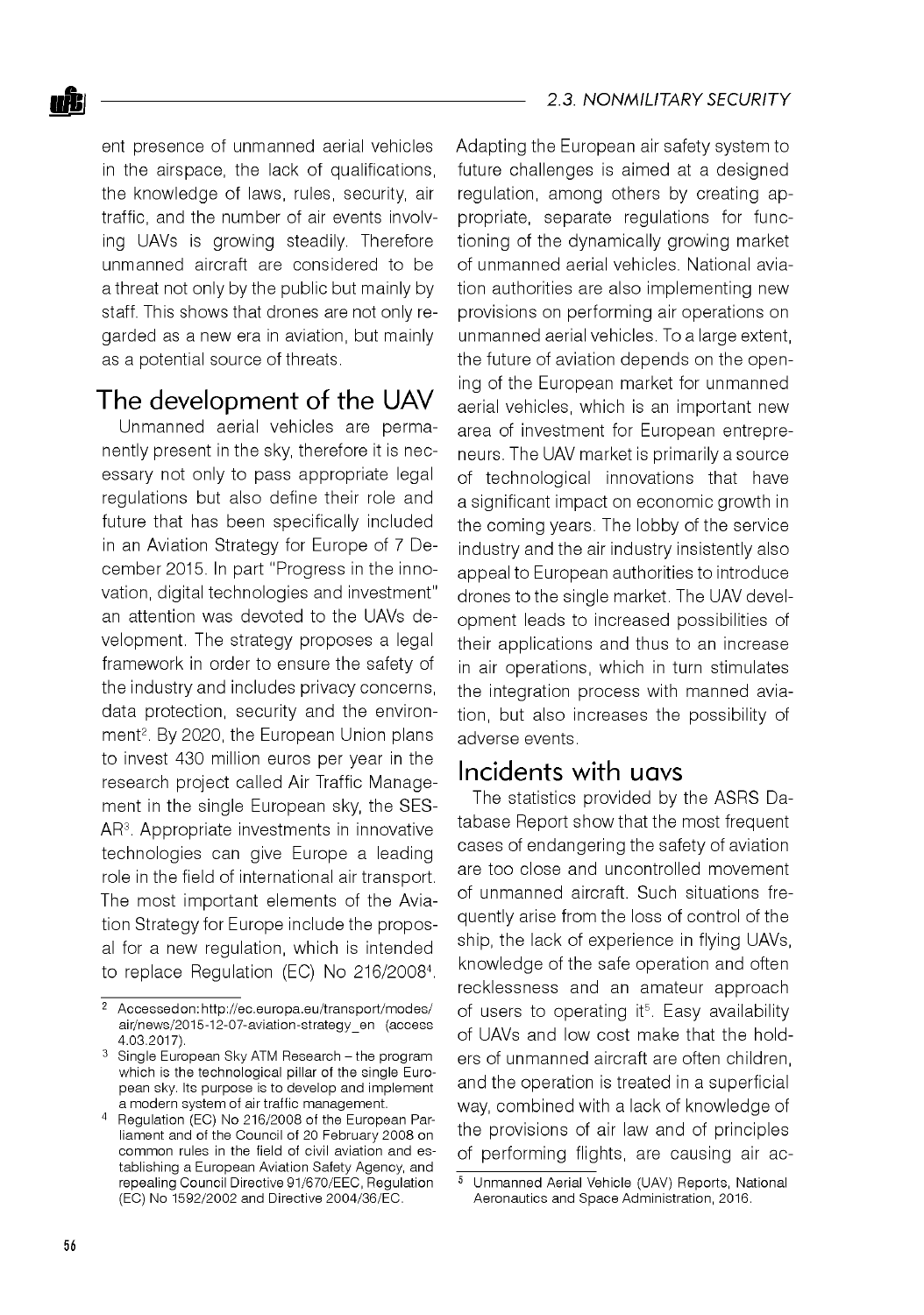ent presence of unmanned aerial vehicles in the airspace, the lack of qualifications, the knowledge of laws, rules, security, air traffic, and the number of air events involving UAVs is growing steadily. Therefore unmanned aircraft are considered to be a threat not only by the public but mainly by staff. This shows that drones are not only regarded as a new era in aviation, but mainly as a potential source of threats.

## The development of the UAV

Unmanned aerial vehicles are permanently present in the sky, therefore it is necessary not only to pass appropriate legal regulations but also define their role and future that has been specifically included in an Aviation Strategy for Europe of 7 December 2015. In part "Progress in the innovation, digital technologies and investment" an attention was devoted to the UAVs development. The strategy proposes a legal framework in order to ensure the safety of the industry and includes privacy concerns, data protection, security and the environment<sup>2</sup>. By 2020, the European Union plans to invest 430 million euros per year in the research project called Air Traffic Management in the single European sky, the SES-AR3. Appropriate investments in innovative technologies can give Europe a leading role in the field of international air transport. The most important elements of the Aviation Strategy for Europe include the proposal for a new regulation, which is intended to replace Regulation (EC) No 216/20084.

Adapting the European air safety system to future challenges is aimed at a designed regulation, among others by creating appropriate, separate regulations for functioning of the dynamically growing market of unmanned aerial vehicles. National aviation authorities are also implementing new provisions on performing air operations on unmanned aerial vehicles. To a large extent, the future of aviation depends on the opening of the European market for unmanned aerial vehicles, which is an important new area of investment for European entrepreneurs. The UAV market is primarily a source of technological innovations that have a significant impact on economic growth in the coming years. The lobby of the service industry and the air industry insistently also appeal to European authorities to introduce drones to the single market. The UAV development leads to increased possibilities of their applications and thus to an increase in air operations, which in turn stimulates the integration process with manned aviation, but also increases the possibility of adverse events.

#### Incidents with uavs

The statistics provided by the ASRS Database Report show that the most frequent cases of endangering the safety of aviation are too close and uncontrolled movement of unmanned aircraft. Such situations frequently arise from the loss of control of the ship, the lack of experience in flying UAVs, knowledge of the safe operation and often recklessness and an amateur approach of users to operating it<sup>5</sup>. Easy availability of UAVs and low cost make that the holders of unmanned aircraft are often children, and the operation is treated in a superficial way, combined with a lack of knowledge of the provisions of air law and of principles of performing flights, are causing air ac-

<sup>&</sup>lt;sup>2</sup> Accessedon: http://ec.europa.eu/transport/modes/ air/news/2015-12-07-aviation-strategy\_en (access 4.03.2017).

 $3$  Single European Sky ATM Research - the program which is the technological pillar of the single European sky. Its purpose is to develop and implement a modern system of air traffic management.

<sup>4</sup> Regulation (EC) No 216/2008 of the European Parliament and of the Council of 20 February 2008 on common rules in the field of civil aviation and establishing a European Aviation Safety Agency, and repealing Council Directive 91/670/EEC, Regulation (EC) No 1592/2002 and Directive 2004/36/EC.

<sup>5</sup> Unmanned Aerial Vehicle (UAV) Reports, National Aeronautics and Space Administration, 2016.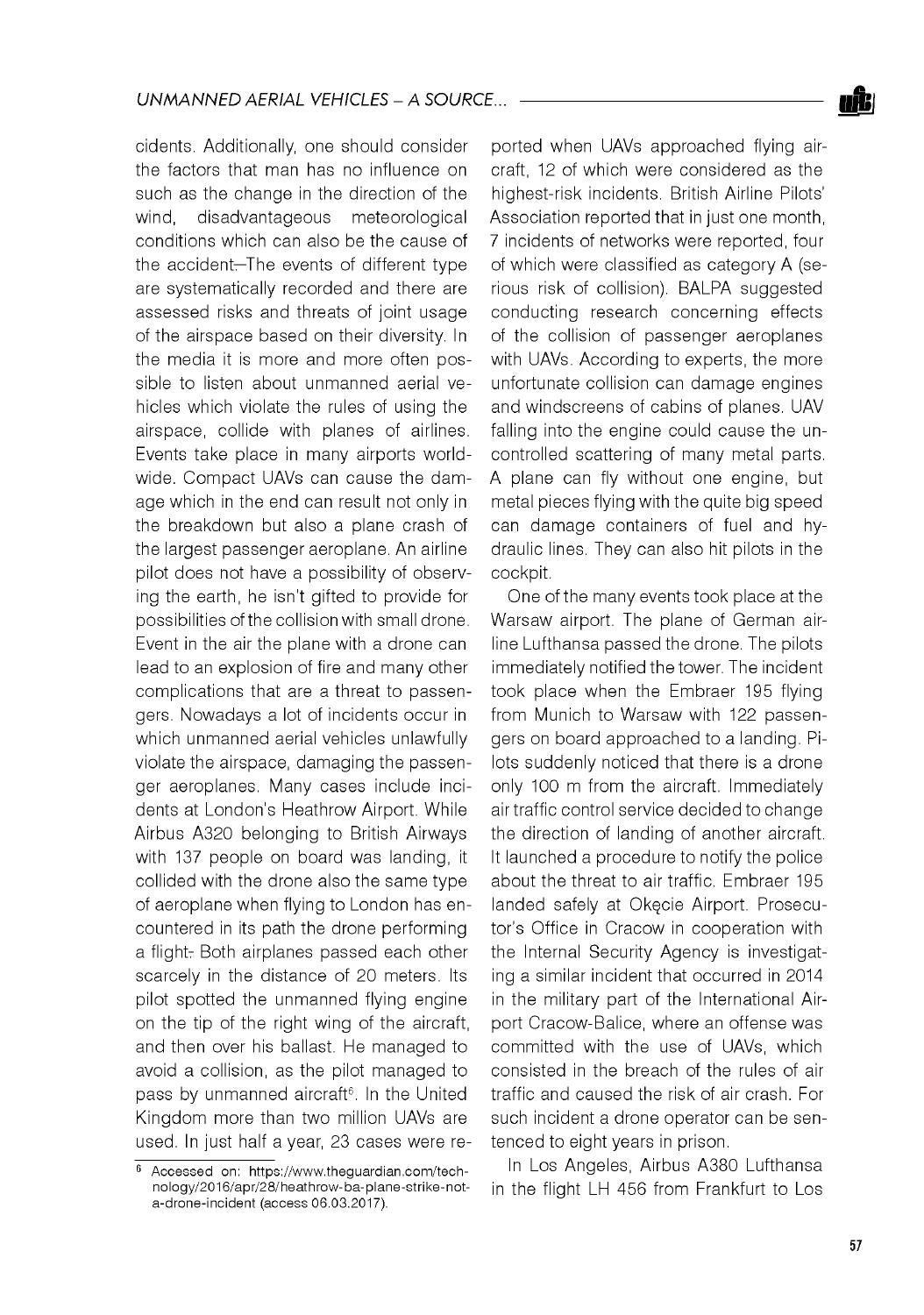cidents. Additionally, one should consider the factors that man has no influence on such as the change in the direction of the wind, disadvantageous meteorological conditions which can also be the cause of the accident—The events of different type are systematically recorded and there are assessed risks and threats of joint usage of the airspace based on their diversity. In the media it is more and more often possible to listen about unmanned aerial vehicles which violate the rules of using the airspace, collide with planes of airlines. Events take place in many airports worldwide. Compact UAVs can cause the damage which in the end can result not only in the breakdown but also a plane crash of the largest passenger aeroplane. An airline pilot does not have a possibility of observing the earth, he isn't gifted to provide for possibilities of the collision with small drone. Event in the air the plane with a drone can lead to an explosion of fire and many other complications that are a threat to passengers. Nowadays a lot of incidents occur in which unmanned aerial vehicles unlawfully violate the airspace, damaging the passenger aeroplanes. Many cases include incidents at London's Heathrow Airport. While Airbus A320 belonging to British Airways with 137 people on board was landing, it collided with the drone also the same type of aeroplane when flying to London has encountered in its path the drone performing a flight. Both airplanes passed each other scarcely in the distance of 20 meters. Its pilot spotted the unmanned flying engine on the tip of the right wing of the aircraft, and then over his ballast. He managed to avoid a collision, as the pilot managed to pass by unmanned aircraft<sup>6</sup>. In the United Kingdom more than two million UAVs are used. In just half a year, 23 cases were reported when UAVs approached flying aircraft, 12 of which were considered as the highest-risk incidents. British Airline Pilots' Association reported that in just one month, 7 incidents of networks were reported, four of which were classified as category A (serious risk of collision). BALPA suggested conducting research concerning effects of the collision of passenger aeroplanes with UAVs. According to experts, the more unfortunate collision can damage engines and windscreens of cabins of planes. UAV falling into the engine could cause the uncontrolled scattering of many metal parts. A plane can fly without one engine, but metal pieces flying with the quite big speed can damage containers of fuel and hydraulic lines. They can also hit pilots in the cockpit.

One of the many events took place at the Warsaw airport. The plane of German airline Lufthansa passed the drone. The pilots immediately notified the tower. The incident took place when the Embraer 195 flying from Munich to Warsaw with 122 passengers on board approached to a landing. Pilots suddenly noticed that there is a drone only 100 m from the aircraft. Immediately air traffic control service decided to change the direction of landing of another aircraft. It launched a procedure to notify the police about the threat to air traffic. Embraer 195 landed safely at Okęcie Airport. Prosecutor's Office in Cracow in cooperation with the Internal Security Agency is investigating a similar incident that occurred in 2014 in the military part of the International Airport Cracow-Balice, where an offense was committed with the use of UAVs, which consisted in the breach of the rules of air traffic and caused the risk of air crash. For such incident a drone operator can be sentenced to eight years in prison.

In Los Angeles, Airbus A380 Lufthansa in the flight LH 456 from Frankfurt to Los



<sup>6</sup> Accessed on: [https://w ww .theguardian.com /tech](https://www.theguardian.com/tech-)nology/2016/apr/28/heathrow -ba-plane-strike-nota-drone-incident (access 06.03.2017).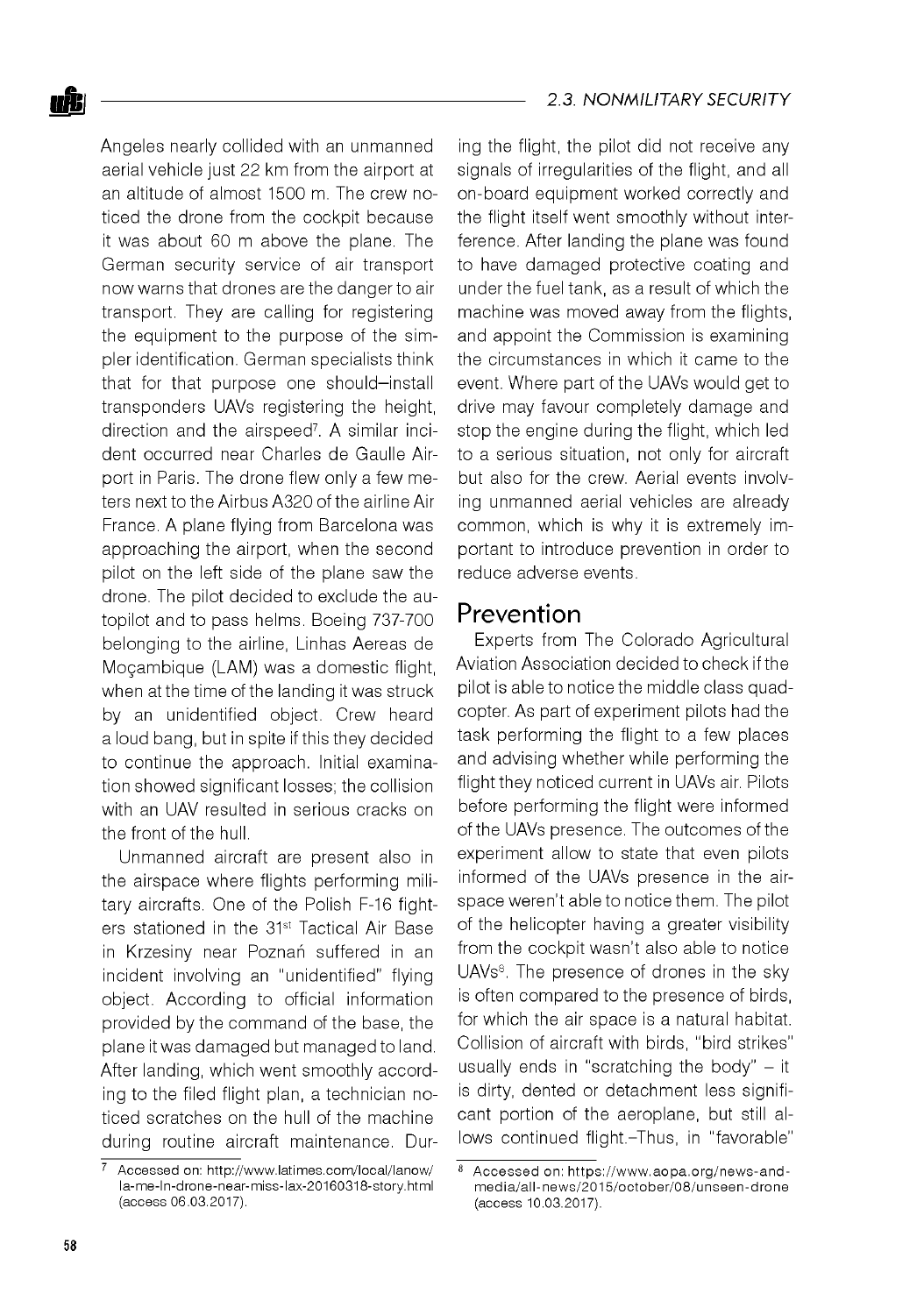Angeles nearly collided with an unmanned aerial vehicle just 22 km from the airport at an altitude of almost 1500 m. The crew noticed the drone from the cockpit because it was about 60 m above the plane. The German security service of air transport now warns that drones are the danger to air transport. They are calling for registering the equipment to the purpose of the simpler identification. German specialists think that for that purpose one should—install transponders UAVs registering the height, direction and the airspeed<sup>7</sup>. A similar incident occurred near Charles de Gaulle Airport in Paris. The drone flew only a few meters next to the Airbus A320 of the airline Air France. A plane flying from Barcelona was approaching the airport, when the second pilot on the left side of the plane saw the drone. The pilot decided to exclude the autopilot and to pass helms. Boeing 737-700 belonging to the airline, Linhas Aereas de Moęambique (LAM) was a domestic flight, when at the time of the landing it was struck by an unidentified object. Crew heard a loud bang, but in spite if this they decided to continue the approach. Initial examination showed significant losses; the collision with an UAV resulted in serious cracks on the front of the hull.

Unmanned aircraft are present also in the airspace where flights performing military aircrafts. One of the Polish F-16 fighters stationed in the 31<sup>st</sup> Tactical Air Base in Krzesiny near Poznań suffered in an incident involving an "unidentified" flying object. According to official information provided by the command of the base, the plane it was damaged but managed to land. After landing, which went smoothly according to the filed flight plan, a technician noticed scratches on the hull of the machine during routine aircraft maintenance. During the flight, the pilot did not receive any signals of irregularities of the flight, and all on-board equipment worked correctly and the flight itself went smoothly without interference. After landing the plane was found to have damaged protective coating and under the fuel tank, as a result of which the machine was moved away from the flights, and appoint the Commission is examining the circumstances in which it came to the event. Where part of the UAVs would get to drive may favour completely damage and stop the engine during the flight, which led to a serious situation, not only for aircraft but also for the crew. Aerial events involving unmanned aerial vehicles are already common, which is why it is extremely important to introduce prevention in order to reduce adverse events.

#### Prevention

Experts from The Colorado Agricultural Aviation Association decided to check if the pilot is able to notice the middle class quadcopter. As part of experiment pilots had the task performing the flight to a few places and advising whether while performing the flight they noticed current in UAVs air. Pilots before performing the flight were informed of the UAVs presence. The outcomes of the experiment allow to state that even pilots informed of the UAVs presence in the airspace weren't able to notice them. The pilot of the helicopter having a greater visibility from the cockpit wasn't also able to notice UAVs<sup>8</sup>. The presence of drones in the sky is often compared to the presence of birds, for which the air space is a natural habitat. Collision of aircraft with birds, "bird strikes" usually ends in "scratching the body"  $-$  it is dirty, dented or detachment less significant portion of the aeroplane, but still allows continued flight.-Thus, in "favorable"

 $7$  Accessed on: http://www.latimes.com/local/lanow/ la-me-ln-drone-near-miss-lax-20160318-story.html (access 06.03.2017).

<sup>8</sup> Accessed on: https://www.aopa.org/news-andmedia/all-news/2015/october/08/unseen-drone (access 10.03.2017).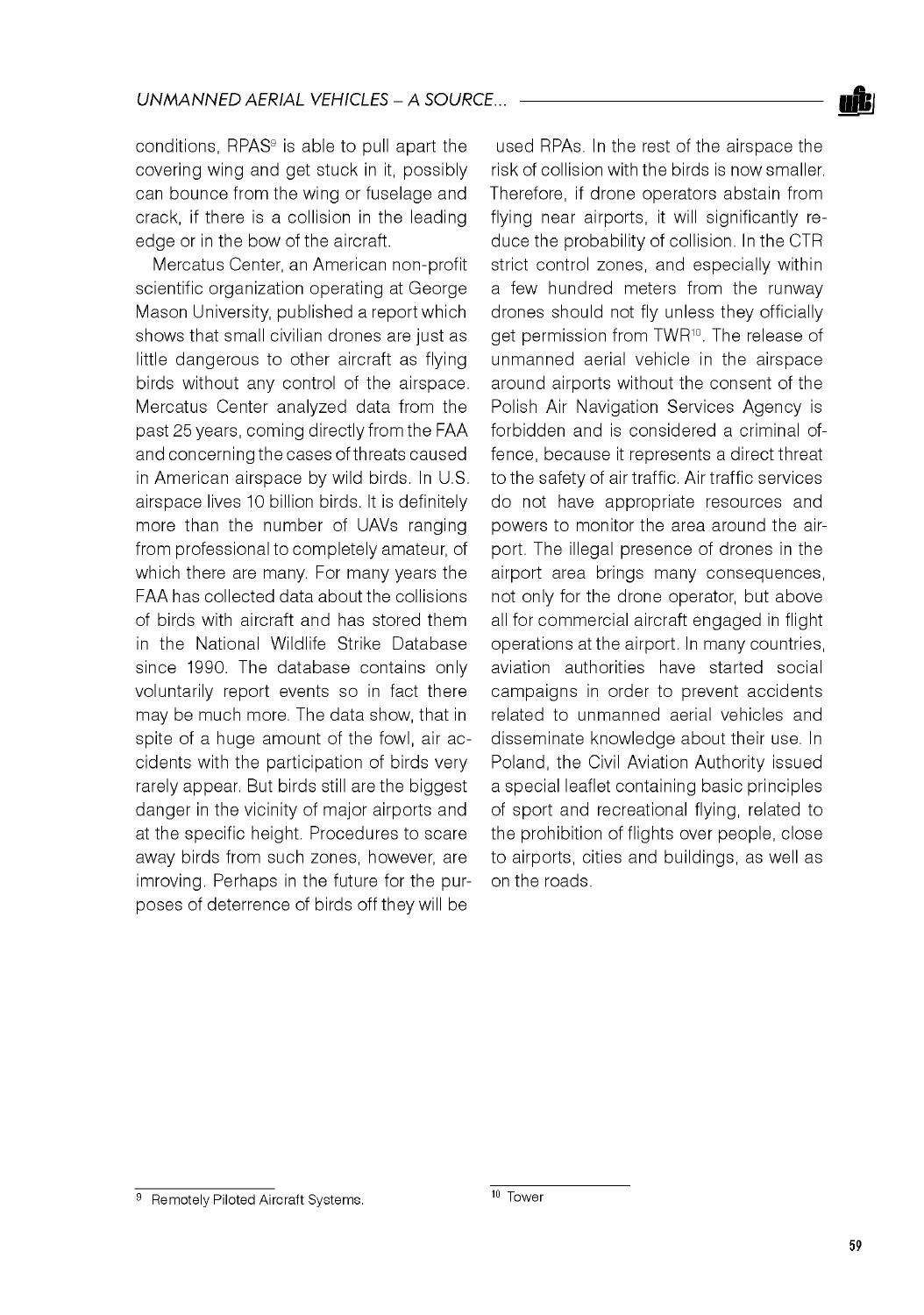conditions, RPAS<sup>9</sup> is able to pull apart the covering wing and get stuck in it, possibly can bounce from the wing or fuselage and crack, if there is a collision in the leading edge or in the bow of the aircraft.

Mercatus Center, an American non-profit scientific organization operating at George Mason University, published a report which shows that small civilian drones are just as little dangerous to other aircraft as flying birds without any control of the airspace. Mercatus Center analyzed data from the past 25 years, coming directly from the FAA and concerning the cases of threats caused in American airspace by wild birds. In U.S. airspace lives 10 billion birds. It is definitely more than the number of UAVs ranging from professional to completely amateur, of which there are many. For many years the FAA has collected data about the collisions of birds with aircraft and has stored them in the National Wildlife Strike Database since 1990. The database contains only voluntarily report events so in fact there may be much more. The data show, that in spite of a huge amount of the fowl, air accidents with the participation of birds very rarely appear. But birds still are the biggest danger in the vicinity of major airports and at the specific height. Procedures to scare away birds from such zones, however, are imroving. Perhaps in the future for the purposes of deterrence of birds off they will be

used RPAs. In the rest of the airspace the risk of collision with the birds is now smaller. Therefore, if drone operators abstain from flying near airports, it will significantly reduce the probability of collision. In the CTR strict control zones, and especially within a few hundred meters from the runway drones should not fly unless they officially get permission from TWR<sup>10</sup>. The release of unmanned aerial vehicle in the airspace around airports without the consent of the Polish Air Navigation Services Agency is forbidden and is considered a criminal offence, because it represents a direct threat to the safety of air traffic. Air traffic services do not have appropriate resources and powers to monitor the area around the airport. The illegal presence of drones in the airport area brings many consequences, not only for the drone operator, but above all for commercial aircraft engaged in flight operations at the airport. In many countries, aviation authorities have started social campaigns in order to prevent accidents related to unmanned aerial vehicles and disseminate knowledge about their use. In Poland, the Civil Aviation Authority issued a special leaflet containing basic principles of sport and recreational flying, related to the prohibition of flights over people, close to airports, cities and buildings, as well as on the roads.

<sup>9</sup> Remotely Piloted Aircraft Systems. 10 Tower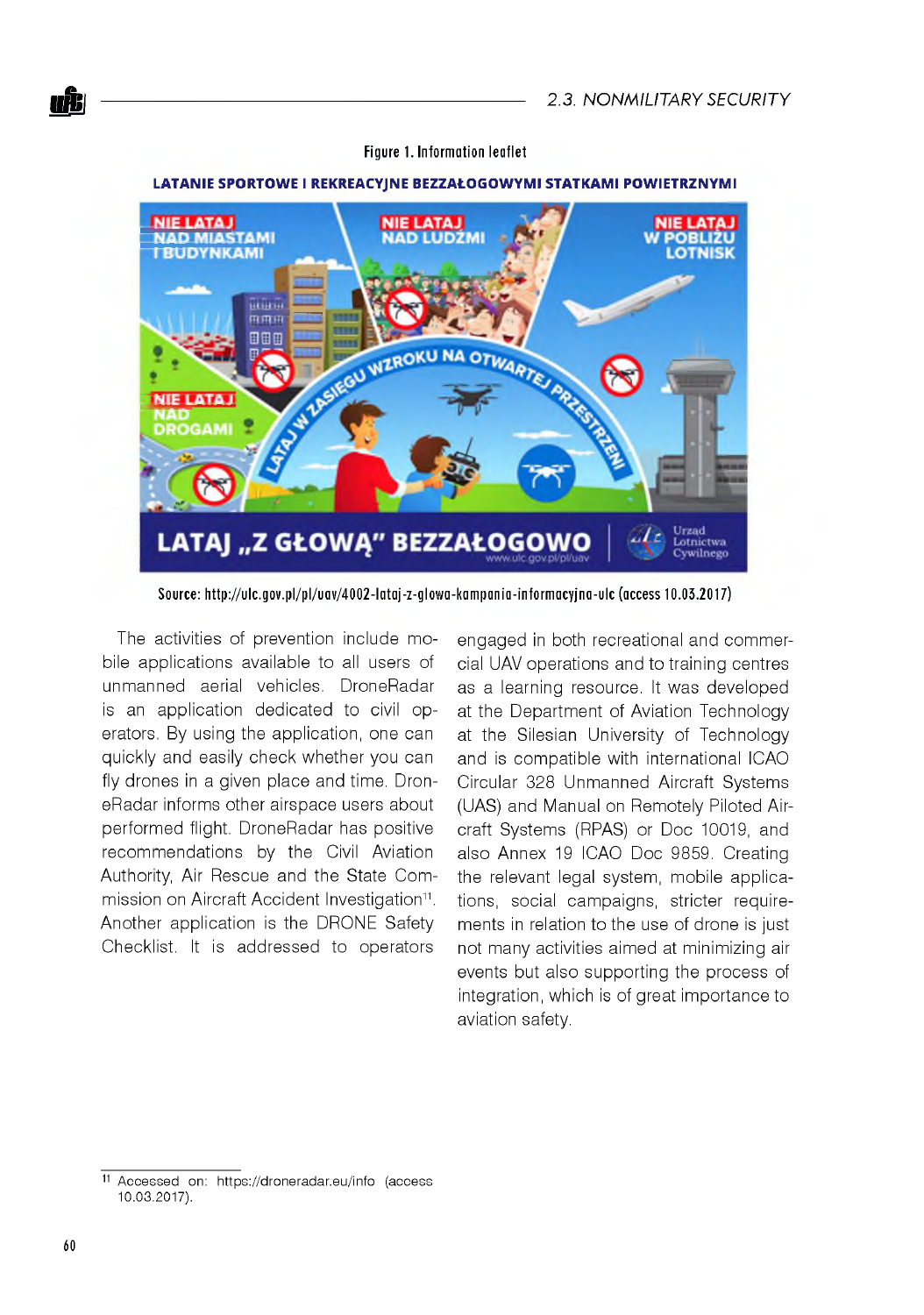

#### **Figure 1. Information leaflet**

Source: http://ulc.gov.pl/pl/uav/4002-lataj-z-glowa-kampania-informacyjna-ulc (access 10.03.2017)

The activities of prevention include mobile applications available to all users of unmanned aerial vehicles. DroneRadar is an application dedicated to civil operators. By using the application, one can quickly and easily check whether you can fly drones in a given place and time. DroneRadar informs other airspace users about performed flight. DroneRadar has positive recommendations by the Civil Aviation Authority, Air Rescue and the State Commission on Aircraft Accident Investigation<sup>11</sup>. Another application is the DRONE Safety Checklist. It is addressed to operators

engaged in both recreational and commercial UAV operations and to training centres as a learning resource. It was developed at the Department of Aviation Technology at the Silesian University of Technology and is compatible with international ICAO Circular 328 Unmanned Aircraft Systems (UAS) and Manual on Remotely Piloted Aircraft Systems (RPAS) or Doc 10019, and also Annex 19 ICAO Doc 9859. Creating the relevant legal system, mobile applications, social campaigns, stricter requirements in relation to the use of drone is just not many activities aimed at minimizing air events but also supporting the process of integration, which is of great importance to aviation safety.

<sup>11</sup> Accessed on: <https://droneradar.eu/info>(access 10.03.2017).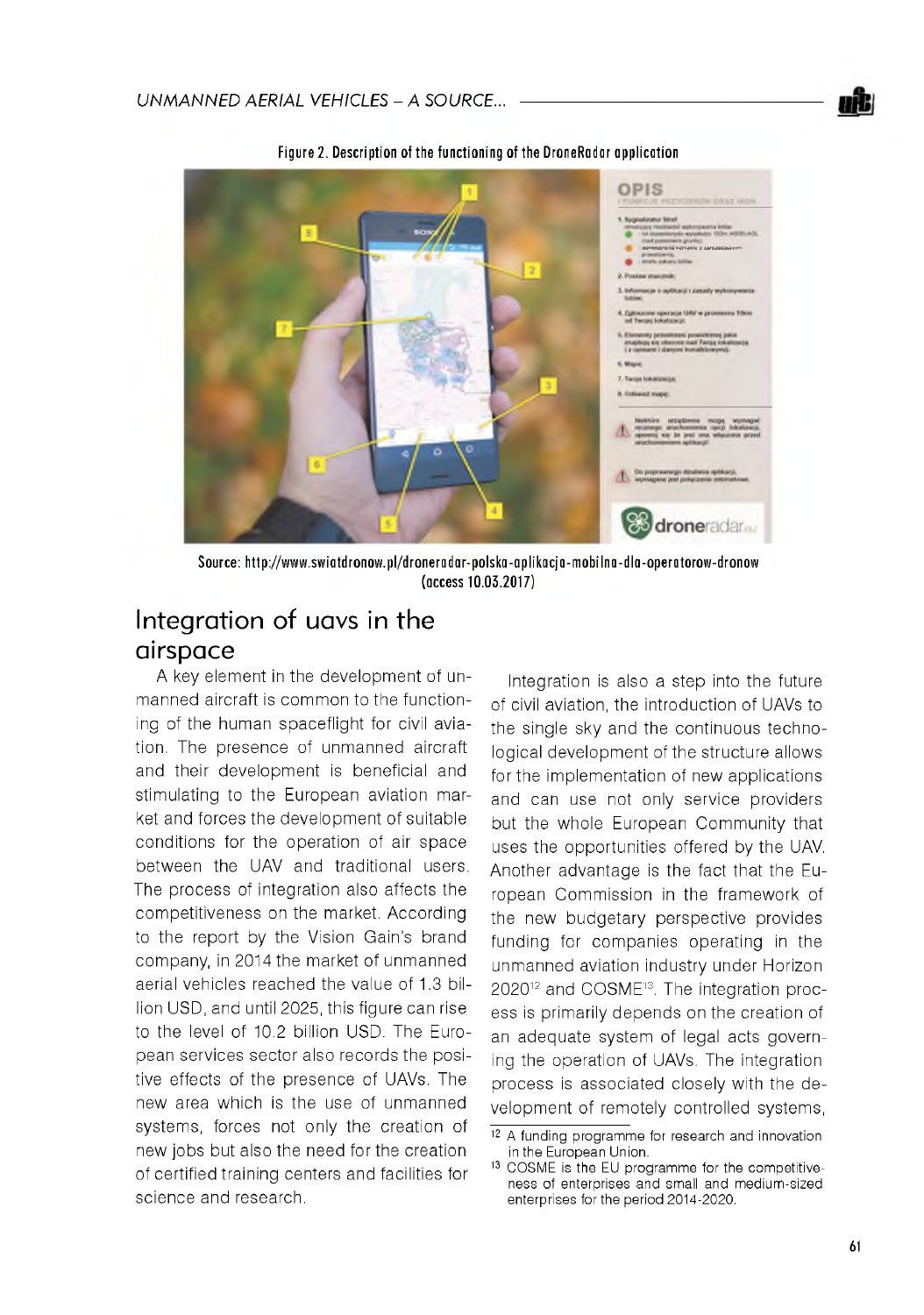



Figure 2. Description of the functioning of the DroneRadar application

Source: http://www.swiatdronow.pl/droneradar-polska-aplikacja-mobilna-dla-operatorow-dronow **(access 1 0 .0 3 .2 0 1 7 )**

# Integration of uavs in the airspace

A key element in the development of unmanned aircraft is common to the functioning of the human spaceflight for civil aviation. The presence of unmanned aircraft and their development is beneficial and stimulating to the European aviation market and forces the development of suitable conditions for the operation of air space between the UAV and traditional users. The process of integration also affects the competitiveness on the market. According to the report by the Vision Gain's brand company, in 2014 the market of unmanned aerial vehicles reached the value of 1.3 billion USD, and until 2025, this figure can rise to the level of 10.2 billion USD. The European services sector also records the positive effects of the presence of UAVs. The new area which is the use of unmanned systems, forces not only the creation of new jobs but also the need for the creation of certified training centers and facilities for science and research.

Integration is also a step into the future of civil aviation, the introduction of UAVs to the single sky and the continuous technological development of the structure allows for the implementation of new applications and can use not only service providers but the whole European Community that uses the opportunities offered by the UAV. Another advantage is the fact that the European Commission in the framework of the new budgetary perspective provides funding for companies operating in the unmanned aviation industry under Horizon 202012 and COSME13. The integration process is primarily depends on the creation of an adequate system of legal acts governing the operation of UAVs. The integration process is associated closely with the development of remotely controlled systems,

<sup>&</sup>lt;sup>12</sup> A funding programme for research and innovation in the European Union.

<sup>&</sup>lt;sup>13</sup> COSME is the EU programme for the competitiveness of enterprises and small and medium-sized enterprises for the period 2014-2020.